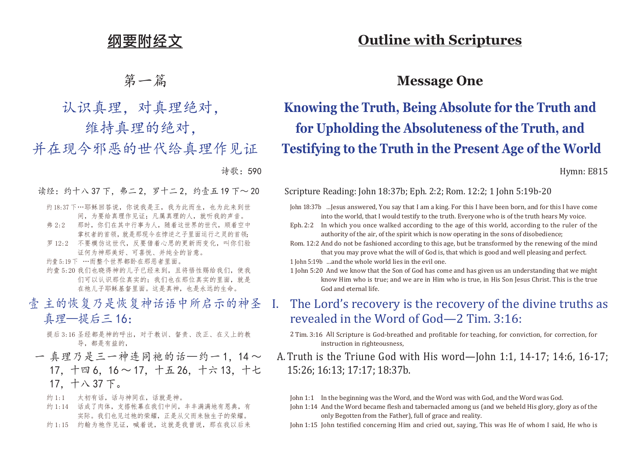# **纲要附经文**

# 第一篇

认识真理,对真理绝对,

维持真理的绝对,

并在现今邪恶的世代给真理作见证

诗歌:590

- 读经:约十八 37 下, 弗二 2, 罗十二 2, 约壹 五 19 下~ 20
	- 约 18:37 下…耶稣回答说,你说我是王,我为此而生,也为此来到世 间,为要给真理作见证;凡属真理的人,就听我的声音。
	- 弗 2:2 那时,你们在其中行事为人,随着这世界的世代,顺着空中 掌权者的首领,就是那现今在悖逆之子里面运行之灵的首领;
	- 罗 12:2 不要模仿这世代,反要借着心思的更新而变化,叫你们验 证何为神那美好、可喜悦、并纯全的旨意。
	- 约壹 5:19 下 …而整个世界都卧在那恶者里面。
	- 约壹 5:20 我们也晓得神的儿子已经来到, 且将悟性赐给我们, 使我 们可以认识那位真实的;我们也在那位真实的里面,就是 在祂儿子耶稣基督里面。这是真神,也是永远的生命。
- 壹 主的恢复乃是恢复神话语中所启示的神圣 真理—提后三 16:
	- 提后 3:16 圣经都是神的呼出,对于教训、督责、改正、在义上的教 导,都是有益的,
- 一 真理乃是三一神连同祂的话—约一1.14~ 17,十四 6,16 ~ 17,十五 26,十六 13,十七 17,十八 37 下。
	- 约 1:1 太初有话, 话与神同在, 话就是神。
	- 约 1:14 话成了肉体, 支搭帐幕在我们中间, 丰丰满满地有恩典, 有 实际。我们也见过祂的荣耀,正是从父而来独生子的荣耀。
	- 约 1:15 约翰为祂作见证, 喊着说, 这就是我曾说, 那在我以后来

## **Outline with Scriptures**

### **Message One**

# **Knowing the Truth, Being Absolute for the Truth and for Upholding the Absoluteness of the Truth, and Testifying to the Truth in the Present Age of the World**

Hymn: E815

Scripture Reading: John 18:37b; Eph. 2:2; Rom. 12:2; 1 John 5:19b-20

- John 18:37b …Jesus answered, You say that I am a king. For this I have been born, and for this I have come into the world, that I would testify to the truth. Everyone who is of the truth hears My voice.
- Eph. 2:2 In which you once walked according to the age of this world, according to the ruler of the authority of the air, of the spirit which is now operating in the sons of disobedience;
- Rom. 12:2 And do not be fashioned according to this age, but be transformed by the renewing of the mind that you may prove what the will of God is, that which is good and well pleasing and perfect.
- 1 John 5:19b …and the whole world lies in the evil one.
- 1 John 5:20 And we know that the Son of God has come and has given us an understanding that we might know Him who is true; and we are in Him who is true, in His Son Jesus Christ. This is the true God and eternal life.
- I. The Lord's recovery is the recovery of the divine truths as revealed in the Word of God—2 Tim. 3:16:
	- 2 Tim. 3:16 All Scripture is God-breathed and profitable for teaching, for conviction, for correction, for instruction in righteousness,
- A.Truth is the Triune God with His word—John 1:1, 14-17; 14:6, 16-17; 15:26; 16:13; 17:17; 18:37b.

John 1:1 In the beginning was the Word, and the Word was with God, and the Word was God.

John 1:14 And the Word became flesh and tabernacled among us (and we beheld His glory, glory as of the only Begotten from the Father), full of grace and reality.

John 1:15 John testified concerning Him and cried out, saying, This was He of whom I said, He who is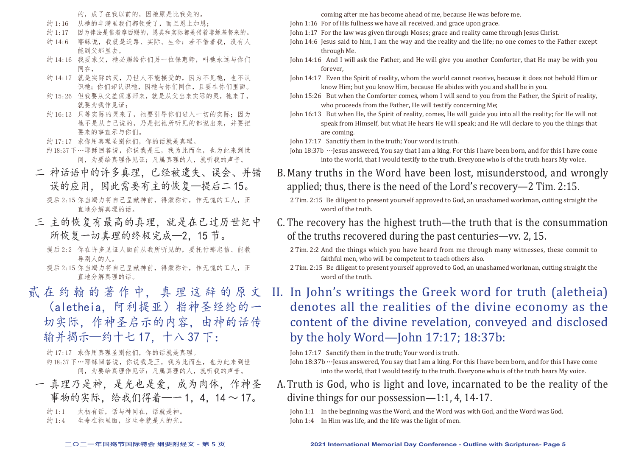的,成了在我以前的,因祂原是比我先的。

- 约 1:16 从祂的丰满里我们都领受了,而且恩上加恩;
- 约 1:17 因为律法是借着摩西赐的,恩典和实际都是借着耶稣基督来的。
- 约 14:6 耶稣说, 我就是道路、实际、生命; 若不借着我, 没有人 能到父那里去。
- 约 14:16 我要求父, 祂必赐给你们另一位保惠师, 叫祂永远与你们 同在,
- 约 14:17 就是实际的灵,乃世人不能接受的,因为不见祂,也不认 识祂:你们却认识祂,因祂与你们同住,且要在你们里面。
- 约 15:26 但我要从父差保惠师来,就是从父出来实际的灵,祂来了, 就要为我作见证:
- 约 16:13 只等实际的灵来了, 祂要引导你们进入一切的实际; 因为 祂不是从自己说的,乃是把祂所听见的都说出来,并要把 要来的事宣示与你们。
- 约 17:17 求你用真理圣别他们,你的话就是真理。
- 约18:37 下…耶稣回答说,你说我是王,我为此而生,也为此来到世 间,为要给真理作见证;凡属真理的人,就听我的声音。
- 二 神话语中的许多真理,已经被遗失、误会、并错 误的应用,因此需要有主的恢复—提后二 15。 提后 2:15 你当竭力将自己呈献神前, 得蒙称许, 作无愧的工人, 正 直地分解真理的话。
- 三 主的恢复有最高的真理,就是在已过历世纪中 所恢复一切真理的终极完成—2,15 节。
	- 提后 2:2 你在许多见证人面前从我所听见的,要托付那忠信、能教 导别人的人。
	- 提后 2:15 你当竭力将自己呈献神前, 得蒙称许, 作无愧的工人, 正 直地分解真理的话。
- 贰 在约翰的著作中,真理这辞的原文

(aletheia,阿利提亚)指神圣经纶的一 切实际,作神圣启示的内容,由神的话传 输并揭示—约十七 17,十八 37 下:

约 17:17 求你用真理圣别他们,你的话就是真理。 约18:37 下…耶稣回答说,你说我是王,我为此而生,也为此来到世 间,为要给真理作见证;凡属真理的人,就听我的声音。

一 真理乃是神,是光也是爱,成为肉体,作神圣 事物的实际, 给我们得着——1,4,14~17。

约 1:1 太初有话, 话与神同在, 话就是神。

约 1:4 牛命在祂里面, 这生命就是人的光。

coming after me has become ahead of me, because He was before me.

- John 1:16 For of His fullness we have all received, and grace upon grace.
- John 1:17 For the law was given through Moses; grace and reality came through Jesus Christ.
- John 14:6 Jesus said to him, I am the way and the reality and the life; no one comes to the Father except through Me.
- John 14:16 And I will ask the Father, and He will give you another Comforter, that He may be with you forever,
- John 14:17 Even the Spirit of reality, whom the world cannot receive, because it does not behold Him or know Him; but you know Him, because He abides with you and shall be in you.
- John 15:26 But when the Comforter comes, whom I will send to you from the Father, the Spirit of reality, who proceeds from the Father, He will testify concerning Me;
- John 16:13 But when He, the Spirit of reality, comes, He will guide you into all the reality; for He will not speak from Himself, but what He hears He will speak; and He will declare to you the things that are coming.

John 17:17 Sanctify them in the truth; Your word is truth.

- John 18:37b …Jesus answered, You say that I am a king. For this I have been born, and for this I have come into the world, that I would testify to the truth. Everyone who is of the truth hears My voice.
- B. Many truths in the Word have been lost, misunderstood, and wrongly applied; thus, there is the need of the Lord's recovery—2 Tim. 2:15.
	- 2 Tim. 2:15 Be diligent to present yourself approved to God, an unashamed workman, cutting straight the word of the truth.
- C. The recovery has the highest truth—the truth that is the consummation of the truths recovered during the past centuries—vv. 2, 15.
	- 2 Tim. 2:2 And the things which you have heard from me through many witnesses, these commit to faithful men, who will be competent to teach others also.
	- 2 Tim. 2:15 Be diligent to present yourself approved to God, an unashamed workman, cutting straight the word of the truth.
- II. In John's writings the Greek word for truth (aletheia) denotes all the realities of the divine economy as the content of the divine revelation, conveyed and disclosed by the holy Word—John 17:17; 18:37b:

John 17:17 Sanctify them in the truth; Your word is truth.

A.Truth is God, who is light and love, incarnated to be the reality of the divine things for our possession—1:1, 4, 14-17.

John 1:1 In the beginning was the Word, and the Word was with God, and the Word was God.

John 1:4 In Him was life, and the life was the light of men.

John 18:37b…Jesus answered, You say that I am a king. For this I have been born, and for this I have come into the world, that I would testify to the truth. Everyone who is of the truth hears My voice.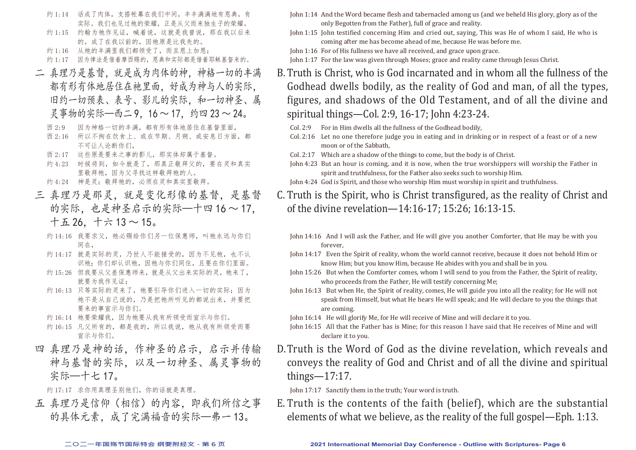- 约 1:14 话成了肉体,支搭帐幕在我们中间,丰丰满满地有恩典,有 实际。我们也见过祂的荣耀,正是从父而来独生子的荣耀。
- 约 1:15 约翰为祂作见证, 喊着说, 这就是我曾说, 那在我以后来 的,成了在我以前的,因祂原是比我先的。
- 约 1:16 从祂的丰满里我们都领受了,而且恩上加恩;
- 约 1:17 因为律法是借着摩西赐的,恩典和实际都是借着耶稣基督来的。
- 二 真理乃是基督,就是成为肉体的神,神格一切的丰满 都有形有体地居住在祂里面,好成为神与人的实际, 旧约一切预表、表号、影儿的实际。和一切神圣、属 灵事物的实际—西二 9,16 ~ 17, 约四 23 ~ 24。
	- 西 2:9 因为神格一切的丰满,都有形有体地居住在基督里面,
	- 西 2:16 所以不拘在饮食上、或在节期、月朔、或安息日方面,都 不可让人论断你们,
	- 西 2:17 这些原是要来之事的影儿,那实体却属于基督。
	- 约 4:23 时候将到, 如今就是了, 那真正敬拜父的, 要在灵和真实 里敬拜祂,因为父寻找这样敬拜祂的人。
	- 约 4:24 神是灵;敬拜祂的,必须在灵和真实里敬拜。
- 三 真理乃是那灵,就是变化形像的基督,是基督 的实际,也是神圣启示的实际—十四16~17. 十五 26,十六 13 ~ 15。
	- 约 14:16 我要求父, 祂必赐给你们另一位保惠师, 叫祂永远与你们 同在,
	- 约 14:17 就是实际的灵,乃世人不能接受的,因为不见祂,也不认 识祂;你们却认识祂,因祂与你们同住,且要在你们里面。
	- 约 15:26 但我要从父差保惠师来,就是从父出来实际的灵, 祂来了, 就要为我作见证,
	- 约 16:13 只等实际的灵来了, 祂要引导你们进入一切的实际; 因为 祂不是从自己说的,乃是把祂所听见的都说出来,并要把 要来的事宣示与你们。
	- 约 16:14 祂要荣耀我, 因为祂要从我有所领受而宣示与你们。
	- 约 16:15 凡父所有的,都是我的,所以我说,祂从我有所领受而要 宣示与你们。
- 四 真理乃是神的话,作神圣的启示,启示并传输 神与基督的实际,以及一切神圣、属灵事物的 实际—十七 17。

约 17:17 求你用真理圣别他们, 你的话就是真理。

五 真理乃是信仰(相信)的内容,即我们所信之事 的具体元素,成了完满福音的实际—弗一 13。

- John 1:14 And the Word became flesh and tabernacled among us (and we beheld His glory, glory as of the only Begotten from the Father), full of grace and reality.
- John 1:15 John testified concerning Him and cried out, saying, This was He of whom I said, He who is coming after me has become ahead of me, because He was before me.
- John 1:16 For of His fullness we have all received, and grace upon grace.

John 1:17 For the law was given through Moses; grace and reality came through Jesus Christ.

- B.Truth is Christ, who is God incarnated and in whom all the fullness of the Godhead dwells bodily, as the reality of God and man, of all the types, figures, and shadows of the Old Testament, and of all the divine and spiritual things—Col. 2:9, 16-17; John 4:23-24.
	- Col. 2:9 For in Him dwells all the fullness of the Godhead bodily,
	- Col. 2:16 Let no one therefore judge you in eating and in drinking or in respect of a feast or of a new moon or of the Sabbath,
	- Col. 2:17 Which are a shadow of the things to come, but the body is of Christ.
	- John 4:23 But an hour is coming, and it is now, when the true worshippers will worship the Father in spirit and truthfulness, for the Father also seeks such to worship Him.
	- John 4:24 God is Spirit, and those who worship Him must worship in spirit and truthfulness.
- C. Truth is the Spirit, who is Christ transfigured, as the reality of Christ and of the divine revelation—14:16-17; 15:26; 16:13-15.
	- John 14:16 And I will ask the Father, and He will give you another Comforter, that He may be with you forever,
	- John 14:17 Even the Spirit of reality, whom the world cannot receive, because it does not behold Him or know Him; but you know Him, because He abides with you and shall be in you.
	- John 15:26 But when the Comforter comes, whom I will send to you from the Father, the Spirit of reality, who proceeds from the Father, He will testify concerning Me;
	- John 16:13 But when He, the Spirit of reality, comes, He will guide you into all the reality; for He will not speak from Himself, but what He hears He will speak; and He will declare to you the things that are coming.

John 16:14 He will glorify Me, for He will receive of Mine and will declare it to you.

- John 16:15 All that the Father has is Mine; for this reason I have said that He receives of Mine and will declare it to you.
- D.Truth is the Word of God as the divine revelation, which reveals and conveys the reality of God and Christ and of all the divine and spiritual things—17:17.

John 17:17 Sanctify them in the truth; Your word is truth.

E. Truth is the contents of the faith (belief), which are the substantial elements of what we believe, as the reality of the full gospel—Eph. 1:13.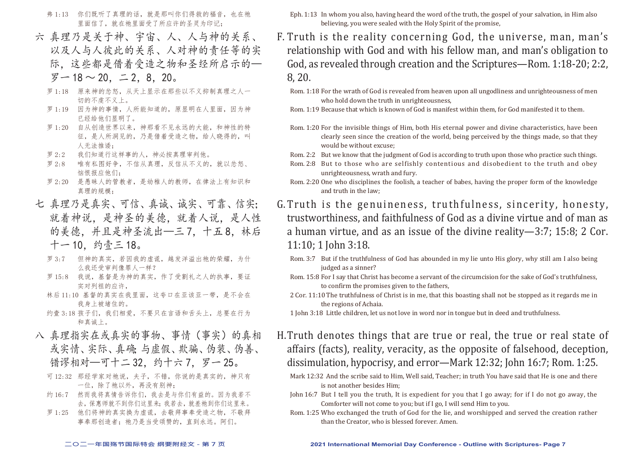- 弗 1:13 你们既听了真理的话, 就是那叫你们得救的福音, 也在祂 里面信了,就在祂里面受了所应许的圣灵为印记;
- 六 真理乃是关于神、宇宙、人、人与神的关系、 以及人与人彼此的关系、人对神的责任等的实 际,这些都是借着受造之物和圣经所启示的—

#### 罗一 18 ~ 20, 二 2, 8, 20。

- 罗 1:18 原来神的忿怒, 从天上显示在那些以不义抑制真理之人一 切的不虔不义上。
- 罗 1:19 因为神的事情,人所能知道的,原显明在人里面,因为神 已经给他们显明了。
- 罗 1:20 自从创造世界以来,神那看不见永远的大能,和神性的特 征,是人所洞见的,乃是借着受造之物,给人晓得的,叫 人无法推诿;
- 罗 2:2 我们知道行这样事的人,神必按真理审判他。
- 罗 2:8 唯有私图好争,不信从真理,反信从不义的,就以忿怒、 恼恨报应他们:
- 罗 2:20 是愚昧人的管教者,是幼稚人的教师,在律法上有知识和 真理的规模;
- 七 真理乃是真实、可信、真诚、诚实、可靠、信实; 就着神说,是神圣的美德,就着人说,是人性 的美德,并且是神圣流出—三7,十五8,林后 十一 10,约壹三 18。
	- 罗 3:7 但神的真实,若因我的虚谎,越发洋溢出祂的荣耀,为什 么我还受审判像罪人一样?
	- 罗 15:8 我说,基督是为神的真实,作了受割礼之人的执事,要证 实对列祖的应许,
	- 林后 11:10 基督的真实在我里面,这夸口在亚该亚一带,是不会在 我身上被堵住的。
	- 约壹 3:18 孩子们, 我们相爱, 不要只在言语和舌头上, 总要在行为 和真诚上。
- 八 真理指实在或真实的事物、事情(事实)的真相 或实情、实际、真确;与虚假、欺骗、伪装、伪善、 错谬相对—可十二 32. 约十六 7. 罗一 25。
	- 可 12:32 那经学家对祂说,夫子,不错,你说的是真实的,神只有 一位,除了祂以外,再没有别神;
	- 约 16:7 然而我将真情告诉你们,我去是与你们有益的。因为我若不 去,保惠师就不到你们这里来;我若去,就差祂到你们这里来。
	- 罗 1:25 他们将神的真实换为虚谎, 夫敬拜事奉受造之物, 不敬拜 事奉那创造者; 祂乃是当受颂赞的, 直到永远。阿们。
- Eph. 1:13 In whom you also, having heard the word of the truth, the gospel of your salvation, in Him also believing, you were sealed with the Holy Spirit of the promise,
- F. Truth is the reality concerning God, the universe, man, man's relationship with God and with his fellow man, and man's obligation to God, as revealed through creation and the Scriptures—Rom. 1:18-20; 2:2, 8, 20.
	- Rom. 1:18 For the wrath of God is revealed from heaven upon all ungodliness and unrighteousness of men who hold down the truth in unrighteousness,
	- Rom. 1:19 Because that which is known of God is manifest within them, for God manifested it to them.
	- Rom. 1:20 For the invisible things of Him, both His eternal power and divine characteristics, have been clearly seen since the creation of the world, being perceived by the things made, so that they would be without excuse;
	- Rom. 2:2 But we know that the judgment of God is according to truth upon those who practice such things.
	- Rom. 2:8 But to those who are selfishly contentious and disobedient to the truth and obey unrighteousness, wrath and fury.
	- Rom. 2:20 One who disciplines the foolish, a teacher of babes, having the proper form of the knowledge and truth in the law;
- G. Truth is the genuineness, truthfulness, sincerity, honesty, trustworthiness, and faithfulness of God as a divine virtue and of man as a human virtue, and as an issue of the divine reality—3:7; 15:8; 2 Cor. 11:10; 1 John 3:18.
	- Rom. 3:7 But if the truthfulness of God has abounded in my lie unto His glory, why still am I also being judged as a sinner?
	- Rom. 15:8 For I say that Christ has become a servant of the circumcision for the sake of God's truthfulness, to confirm the promises given to the fathers,
	- 2 Cor. 11:10The truthfulness of Christ is in me, that this boasting shall not be stopped as it regards me in the regions of Achaia.
	- 1 John 3:18 Little children, let us not love in word nor in tongue but in deed and truthfulness.
- H.Truth denotes things that are true or real, the true or real state of affairs (facts), reality, veracity, as the opposite of falsehood, deception, dissimulation, hypocrisy, and error—Mark 12:32; John 16:7; Rom. 1:25.
	- Mark 12:32 And the scribe said to Him, Well said, Teacher; in truth You have said that He is one and there is not another besides Him;
	- John 16:7 But I tell you the truth, It is expedient for you that I go away; for if I do not go away, the Comforter will not come to you; but if I go, I will send Him to you.
	- Rom. 1:25 Who exchanged the truth of God for the lie, and worshipped and served the creation rather than the Creator, who is blessed forever. Amen.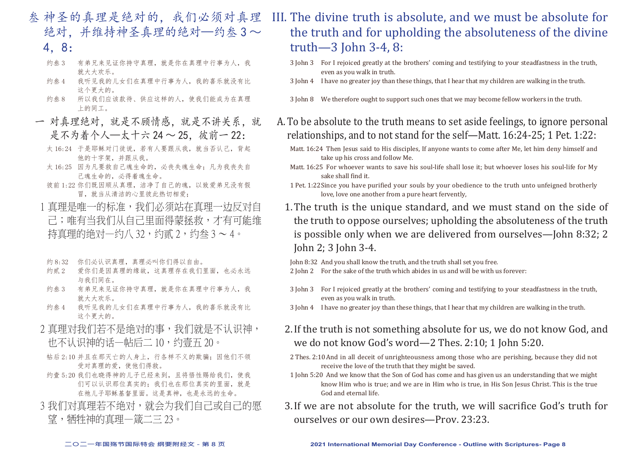- 叁 神圣的真理是绝对的,我们必须对真理 绝对,并维持神圣真理的绝对—约叁3~
	- 4,8:
	- 约叁 3 有弟兄来见证你持守真理,就是你在真理中行事为人,我 就大大欢乐。
	- 约叁 4 我听见我的儿女们在真理中行事为人,我的喜乐就没有比 这个更大的。
	- 约叁 8 所以我们应该款待、供应这样的人,使我们能成为在真理 上的同工。
- 一 对真理绝对,就是不顾情感,就是不讲关系,就 是不为着个人—太十六 24 ~ 25,彼前一 22:
	- 太 16:24 于是耶稣对门徒说,若有人要跟从我,就当否认己,背起 他的十字架,并跟从我。
	- 太 16:25 因为凡要救自己魂生命的, 必丧失魂生命; 凡为我丧失自 己魂生命的,必得着魂生命。
	- 彼前 1:22 你们既因顺从真理,洁净了自己的魂,以致爱弟兄没有假 冒,就当从清洁的心里彼此热切相爱;
	- 1 真理是唯一的标准,我们必须站在真理一边反对自 己;唯有当我们从自己里面得蒙拯救,才有可能维 特直理的绝对一约八 32,约贰 2, 约叁 3 ~ 4。
	- 约 8:32 你们必认识真理,真理必叫你们得以自由。
	- 约贰 2 爱你们是因真理的缘故, 这真理存在我们里面, 也必永远 与我们同在。
	- 约叁 3 有弟兄来见证你持守真理,就是你在真理中行事为人,我 就大大欢乐。
	- 约叁 4 我听见我的儿女们在真理中行事为人,我的喜乐就没有比 这个更大的。
	- 2 真理对我们若不是绝对的事,我们就是不认识神, 也不认识神的话—帖后二 10,约壹五 20。
	- 帖后 2:10 并且在那灭亡的人身上,行各样不义的欺骗;因他们不领 受对真理的爱,使他们得救。
	- 约壹 5:20 我们也晓得神的儿子已经来到, 且将悟性赐给我们, 使我 们可以认识那位真实的;我们也在那位真实的里面,就是 在祂儿子耶稣基督里面。这是真神,也是永远的生命。
- 3 我们对直理若不绝对,就会为我们自己或自己的愿 望,牺牲神的真理—箴二三 23。

# III. The divine truth is absolute, and we must be absolute for the truth and for upholding the absoluteness of the divine truth—3 John 3-4, 8:

- 3 John 3 For I rejoiced greatly at the brothers' coming and testifying to your steadfastness in the truth, even as you walk in truth.
- 3 John 4 I have no greater joy than these things, that I hear that my children are walking in the truth.
- 3 John 8 We therefore ought to support such ones that we may become fellow workers in the truth.
- A.To be absolute to the truth means to set aside feelings, to ignore personal relationships, and to not stand for the self—Matt. 16:24-25; 1 Pet. 1:22:
	- Matt. 16:24 Then Jesus said to His disciples, If anyone wants to come after Me, let him deny himself and take up his cross and follow Me.
	- Matt. 16:25 For whoever wants to save his soul-life shall lose it; but whoever loses his soul-life for My sake shall find it.
	- 1 Pet. 1:22Since you have purified your souls by your obedience to the truth unto unfeigned brotherly love, love one another from a pure heart fervently,
	- 1.The truth is the unique standard, and we must stand on the side of the truth to oppose ourselves; upholding the absoluteness of the truth is possible only when we are delivered from ourselves—John 8:32; 2 John 2; 3 John 3-4.

John 8:32 And you shall know the truth, and the truth shall set you free.

- 2 John 2 For the sake of the truth which abides in us and will be with us forever:
- 3 John 3 For I rejoiced greatly at the brothers' coming and testifying to your steadfastness in the truth, even as you walk in truth.
- 3 John 4 I have no greater joy than these things, that I hear that my children are walking in the truth.
- 2.If the truth is not something absolute for us, we do not know God, and we do not know God's word—2 Thes. 2:10; 1 John 5:20.
- 2 Thes. 2:10And in all deceit of unrighteousness among those who are perishing, because they did not receive the love of the truth that they might be saved.
- 1 John 5:20 And we know that the Son of God has come and has given us an understanding that we might know Him who is true; and we are in Him who is true, in His Son Jesus Christ. This is the true God and eternal life.
- 3.If we are not absolute for the truth, we will sacrifice God's truth for ourselves or our own desires—Prov. 23:23.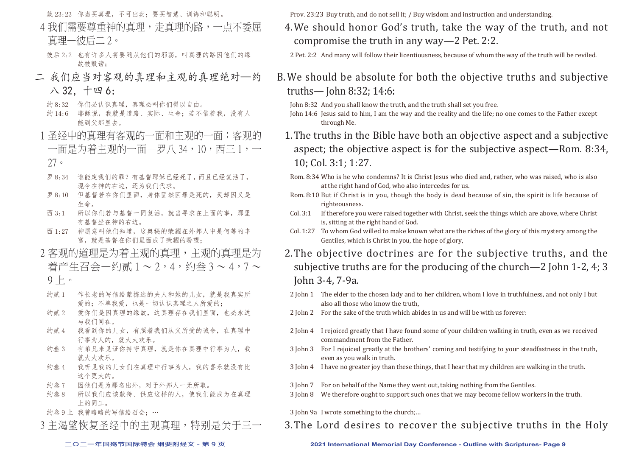箴 23:23 你当买真理,不可出卖;要买智慧、训诲和聪明。

- 4 我们需要尊重神的真理,走真理的路,一点不季屈 真理—彼后二 2。
	- 彼后 2:2 也有许多人将要随从他们的邪荡,叫真理的路因他们的缘 故被毁谤;
- 二 我们应当对客观的真理和主观的真理绝对—约 八 32,十四 6:
	- 约 8:32 你们必认识真理,真理必叫你们得以自由。
	- 约 14:6 耶稣说, 我就是道路、实际、生命; 若不借着我, 没有人 能到父那里去。
- 1 圣经中的直理有客观的一面和主观的一面;客观的 一面是为着主观的一面—罗八 34,10,西三 1,一
- 27。
- 罗 8:34 谁能定我们的罪?有基督耶稣已经死了,而且已经复活了, 现今在神的右边,还为我们代求。
- 罗 8:10 但基督若在你们里面,身体固然因罪是死的,灵却因义是 生命。
- 西 3:1 所以你们若与基督一同复活,就当寻求在上面的事,那里 有基督坐在神的右边。
- 西 1:27 神愿意叫他们知道,这奥秘的荣耀在外邦人中是何等的丰 富,就是基督在你们里面成了荣耀的盼望;
- 2 客观的道理是为着主观的直理,主要 着产生召会—约贰 1~2,4,约叁 3~4,7~
	- $9 + \circ$
	- 约贰 1 作长老的写信给蒙拣选的夫人和她的儿女,就是我真实所 爱的;不单我爱,也是一切认识真理之人所爱的;
	- 约贰 2 爱你们是因真理的缘故,这真理存在我们里面,也必永远 与我们同在。
	- 约贰 4 我看到你的儿女,有照着我们从父所受的诫命,在真理中 行事为人的,就大大欢乐。
	- 约叁 3 有弟兄来见证你持守真理,就是你在真理中行事为人,我 就大大欢乐。
	- 约叁 4 我听见我的儿女们在真理中行事为人,我的喜乐就没有比 这个更大的。
	- 约叁 7 因他们是为那名出外,对于外邦人一无所取。
	- 约叁 8 所以我们应该款待、供应这样的人,使我们能成为在真理 上的同工。
- 约叁 9 上 我曾略略的写信给召会: …

3 主渴望恢复圣经中的主观直理, 特别是关于三一

Prov. 23:23 Buy truth, and do not sell it; / Buy wisdom and instruction and understanding.

- 4.We should honor God's truth, take the way of the truth, and not compromise the truth in any way—2 Pet. 2:2.
	- 2 Pet. 2:2 And many will follow their licentiousness, because of whom the way of the truth will be reviled.
- B.We should be absolute for both the objective truths and subjective truths— John 8:32; 14:6:

John 8:32 And you shall know the truth, and the truth shall set you free.

- John 14:6 Jesus said to him, I am the way and the reality and the life; no one comes to the Father except through Me.
- 1.The truths in the Bible have both an objective aspect and a subjective aspect; the objective aspect is for the subjective aspect—Rom. 8:34, 10; Col. 3:1; 1:27.
	- Rom. 8:34 Who is he who condemns? It is Christ Jesus who died and, rather, who was raised, who is also at the right hand of God, who also intercedes for us.
- Rom. 8:10 But if Christ is in you, though the body is dead because of sin, the spirit is life because of righteousness.
- Col. 3:1 If therefore you were raised together with Christ, seek the things which are above, where Christ is, sitting at the right hand of God.
- Col. 1:27 To whom God willed to make known what are the riches of the glory of this mystery among the Gentiles, which is Christ in you, the hope of glory,
- 2.The objective doctrines are for the subjective truths, and the subjective truths are for the producing of the church—2 John 1-2, 4; 3 John 3-4, 7-9a.
- 2 John 1 The elder to the chosen lady and to her children, whom I love in truthfulness, and not only I but also all those who know the truth,
- 2 John 2 For the sake of the truth which abides in us and will be with us forever:
- 2 John 4 I rejoiced greatly that I have found some of your children walking in truth, even as we received commandment from the Father.
- 3 John 3 For I rejoiced greatly at the brothers' coming and testifying to your steadfastness in the truth, even as you walk in truth.
- 3 John 4 I have no greater joy than these things, that I hear that my children are walking in the truth.
- 3 John 7 For on behalf of the Name they went out, taking nothing from the Gentiles.
- 3 John 8 We therefore ought to support such ones that we may become fellow workers in the truth.
- 3 John 9a I wrote something to the church;…
- 3.The Lord desires to recover the subjective truths in the Holy

#### **二○二一年国殇节国际特会 纲要附经文 - 第 9 页 2021 International Memorial Day Conference - Outline with Scriptures- Page 9**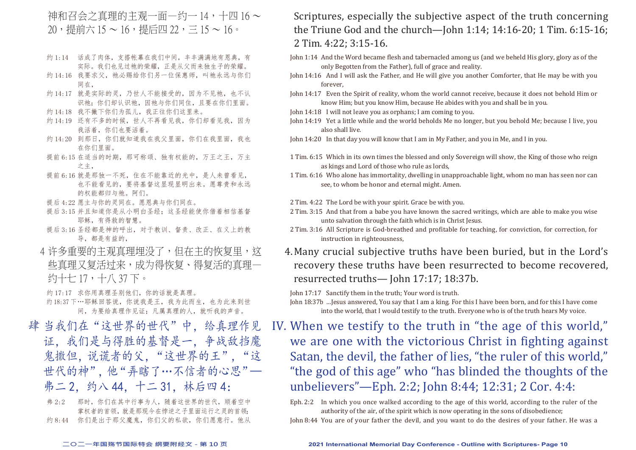#### 神和召会之真理的主观一面—约一 14,十四 16 ~ 20,提前六 15 ~ 16,提后四 22,三 15 ~ 16。

- 约 1:14 话成了肉体,支搭帐幕在我们中间,丰丰满满地有恩典,有 实际。我们也见过祂的荣耀,正是从父而来独生子的荣耀。
- 约 14:16 我要求父, 祂必赐给你们另一位保惠师, 叫祂永远与你们 同在,
- 约 14:17 就是实际的灵,乃世人不能接受的,因为不见祂,也不认 识祂;你们却认识祂,因祂与你们同住,且要在你们里面。
- 约 14:18 我不撇下你们为孤儿, 我正往你们这里来。
- 约 14:19 还有不多的时候,世人不再看见我,你们却看见我,因为 我活着,你们也要活着。
- 约 14:20 到那日, 你们就知道我在我父里面, 你们在我里面, 我也 在你们里面。
- 提前 6:15 在适当的时期, 那可称颂、独有权能的, 万王之王, 万主 之主,
- 提前 6:16 就是那独一不死,住在不能靠近的光中,是人未曾看见, 也不能看见的,要将基督这显现显明出来。愿尊贵和永远 的权能都归与祂。阿们。
- 提后 4:22 愿主与你的灵同在。愿恩典与你们同在。
- 提后 3:15 并且知道你是从小明白圣经;这圣经能使你借着相信基督 耶稣,有得救的智慧。
- 提后 3:16 圣经都是神的呼出,对于教训、督责、改正、在义上的教 导,都是有益的,
- 4 许多重要的主观真理埋没了,但在主的恢复里, 这 些真理又复活过来,成为得恢复、得复活的真理— 约十七 17,十八 37 下。

约 17:17 求你用真理圣别他们,你的话就是真理。

约18:37 下…耶稣回答说,你说我是王,我为此而生,也为此来到世 间,为要给真理作见证;凡属真理的人,就听我的声音。

肆 当我们在"这世界的世代"中, 给真理作见 证,我们是与得胜的基督是一,争战敌挡魔 鬼撒但,说谎者的父,"这世界的王","这 世代的神",他"弄瞎了…不信者的心思"— 弗二 2, 约八 44, 十二 31, 林后四 4:

弗 2:2 那时,你们在其中行事为人,随着这世界的世代,顺着空中 掌权者的首领,就是那现今在悖逆之子里面运行之灵的首领; 约 8:44 你们是出于那父魔鬼, 你们父的私欲, 你们愿意行。他从

#### Scriptures, especially the subjective aspect of the truth concerning the Triune God and the church—John 1:14; 14:16-20; 1 Tim. 6:15-16; 2 Tim. 4:22; 3:15-16.

- John 1:14 And the Word became flesh and tabernacled among us (and we beheld His glory, glory as of the only Begotten from the Father), full of grace and reality.
- John 14:16 And I will ask the Father, and He will give you another Comforter, that He may be with you forever,
- John 14:17 Even the Spirit of reality, whom the world cannot receive, because it does not behold Him or know Him; but you know Him, because He abides with you and shall be in you.
- John 14:18 I will not leave you as orphans; I am coming to you.
- John 14:19 Yet a little while and the world beholds Me no longer, but you behold Me; because I live, you also shall live.

John 14:20 In that day you will know that I am in My Father, and you in Me, and I in you.

- 1 Tim. 6:15 Which in its own times the blessed and only Sovereign will show, the King of those who reign as kings and Lord of those who rule as lords,
- 1 Tim. 6:16 Who alone has immortality, dwelling in unapproachable light, whom no man has seen nor can see, to whom be honor and eternal might. Amen.
- 2 Tim. 4:22 The Lord be with your spirit. Grace be with you.
- 2 Tim. 3:15 And that from a babe you have known the sacred writings, which are able to make you wise unto salvation through the faith which is in Christ Jesus.
- 2 Tim. 3:16 All Scripture is God-breathed and profitable for teaching, for conviction, for correction, for instruction in righteousness,
- 4.Many crucial subjective truths have been buried, but in the Lord's recovery these truths have been resurrected to become recovered, resurrected truths— John 17:17; 18:37b.

John 17:17 Sanctify them in the truth; Your word is truth.

John 18:37b …Jesus answered, You say that I am a king. For this I have been born, and for this I have come into the world, that I would testify to the truth. Everyone who is of the truth hears My voice.

IV. When we testify to the truth in "the age of this world," we are one with the victorious Christ in fighting against Satan, the devil, the father of lies, "the ruler of this world," "the god of this age" who "has blinded the thoughts of the unbelievers"—Eph. 2:2; John 8:44; 12:31; 2 Cor. 4:4:

Eph. 2:2 In which you once walked according to the age of this world, according to the ruler of the authority of the air, of the spirit which is now operating in the sons of disobedience;

John 8:44 You are of your father the devil, and you want to do the desires of your father. He was a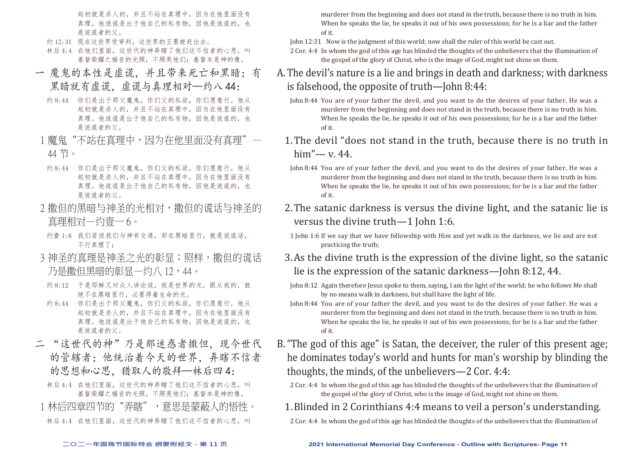起初就是杀人的,并且不站在真理中,因为在他里面没有 真理。他说谎是出于他自己的私有物,因他是说谎的,也 是说谎者的父。

- 约 12:31 现在这世界受审判, 这世界的王要被赶出去。
- 林后 4:4 在他们里面, 这世代的神弄瞎了他们这不信者的心思, 叫 基督荣耀之福音的光照,不照亮他们;基督本是神的像。
- 一 魔鬼的本性是虚谎,并且带来死亡和黑暗;有 黑暗就有虚谎。虚谎与真理相对—约八 44:
	- 约 8:44 你们是出于那父魔鬼, 你们父的私欲, 你们愿意行。他从 起初就是杀人的,并且不站在真理中,因为在他里面没有 真理。他说谎是出于他自己的私有物,因他是说谎的,也 是说谎者的父。
- 1 魔鬼"不站在直理中,因为在他里面没有直理" 44 节。
- 约 8:44 你们是出于那父魔鬼, 你们父的私欲, 你们愿意行。他从 起初就是杀人的,并且不站在真理中,因为在他里面没有 真理。他说谎是出于他自己的私有物,因他是说谎的,也 是说谎者的父。
- 2 撒但的黑暗与神圣的 真理相对—约壹一 6。
- 约壹 1:6 我们若说我们与神有交通, 却在黑暗里行, 就是说谎话, 不行真理了;
- 3 神圣的直理是神圣之光的彰显;照样,撒但的谎话 乃是撒但黑暗的彰显—约八 12,44。
- 约 8:12 干是耶稣又对众人讲论说,我是世界的光,跟从我的,就 绝不在黑暗里行,必要得着生命的光。
- 约 8:44 你们是出于那父魔鬼, 你们父的私欲, 你们愿意行。他从 起初就是杀人的,并且不站在真理中,因为在他里面没有 真理。他说谎是出于他自己的私有物,因他是说谎的,也 是说谎者的父。
- 二 "这世代的神"乃是那迷惑者撒但,现今世代 的管辖者;他统治着今天的世界,弄瞎不信者 的思想和心思,猎取人的敬拜—林后四 4:

林后 4:4 在他们里面, 这世代的神弄瞎了他们这不信者的心思, 叫 基督荣耀之福音的光照,不照亮他们;基督本是神的像。 1 林后四章四节的"弄瞎",意思是蒙蔽人的悟性。 林后 4:4 在他们里面,这世代的神弄瞎了他们这不信者的心思,叫

murderer from the beginning and does not stand in the truth, because there is no truth in him. When he speaks the lie, he speaks it out of his own possessions; for he is a liar and the father of it.

John 12:31 Now is the judgment of this world; now shall the ruler of this world be cast out.

- 2 Cor. 4:4 In whom the god of this age has blinded the thoughts of the unbelievers that the illumination of the gospel of the glory of Christ, who is the image of God, might not shine on them.
- A.The devil's nature is a lie and brings in death and darkness; with darkness is falsehood, the opposite of truth—John 8:44:
	- John 8:44 You are of your father the devil, and you want to do the desires of your father. He was a murderer from the beginning and does not stand in the truth, because there is no truth in him. When he speaks the lie, he speaks it out of his own possessions; for he is a liar and the father of it.
	- 1.The devil "does not stand in the truth, because there is no truth in him"— v. 44.
		- John 8:44 You are of your father the devil, and you want to do the desires of your father. He was a murderer from the beginning and does not stand in the truth, because there is no truth in him. When he speaks the lie, he speaks it out of his own possessions; for he is a liar and the father of it.
	- 2.The satanic darkness is versus the divine light, and the satanic lie is versus the divine truth—1 John 1:6.
		- 1 John 1:6 If we say that we have fellowship with Him and yet walk in the darkness, we lie and are not practicing the truth;
	- 3.As the divine truth is the expression of the divine light, so the satanic lie is the expression of the satanic darkness—John 8:12, 44.
	- John 8:12 Again therefore Jesus spoke to them, saying, I am the light of the world; he who follows Me shall by no means walk in darkness, but shall have the light of life.
	- John 8:44 You are of your father the devil, and you want to do the desires of your father. He was a murderer from the beginning and does not stand in the truth, because there is no truth in him. When he speaks the lie, he speaks it out of his own possessions; for he is a liar and the father of it.
- B."The god of this age" is Satan, the deceiver, the ruler of this present age; he dominates today's world and hunts for man's worship by blinding the thoughts, the minds, of the unbelievers—2 Cor. 4:4:
	- 2 Cor. 4:4 In whom the god of this age has blinded the thoughts of the unbelievers that the illumination of the gospel of the glory of Christ, who is the image of God, might not shine on them.
	- 1.Blinded in 2 Corinthians 4:4 means to veil a person's understanding.
	- 2 Cor. 4:4 In whom the god of this age has blinded the thoughts of the unbelievers that the illumination of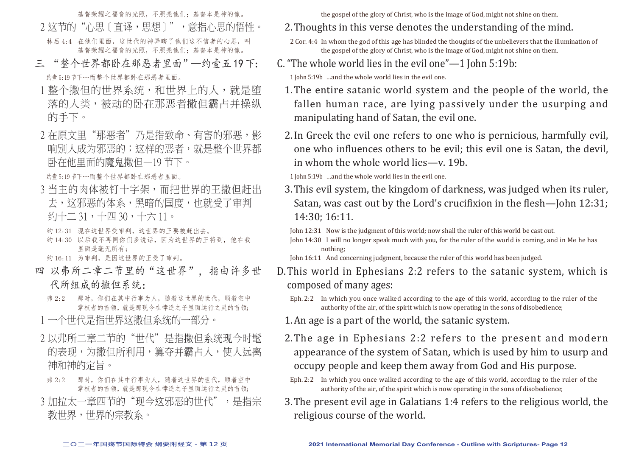基督荣耀之福音的光照,不照亮他们;基督本是神的像。 2 这节的"心思〔直译,思想〕",意指心思的悟性。

- 林后 4:4 在他们里面,这世代的神弄瞎了他们这不信者的心思,叫 基督荣耀之福音的光照,不照亮他们;基督本是神的像。
- 三 "整个世界都卧在那恶者里面"—约壹五 19 下: 约壹 5:19 节下…而整个世界都卧在那恶者里面。
- 1 整个撒但的世界系统,和世界上的人,就是堕 落的人类,被动的卧在那恶者撒但霸占并操纵 的手下。
- 2 在原文里"那恶者"乃是指致命、有害的邪恶,影 响别人成为邪恶的;这样的恶者,就是整个世界都 卧在他里面的魔鬼撒但—19 节下。

约壹 5:19 节下…而整个世界都卧在那恶者里面。

3 当主的肉体被钉十字架,而把世界的王撒但赶出 去,这邪恶的体系,黑暗的国度,也就受了审判— 约十二 31,十四 30,十六 11。

约 12:31 现在这世界受审判, 这世界的王要被赶出去。

约 14:30 以后我不再同你们多说话,因为这世界的王将到,他在我 里面是毫无所有;

约 16:11 为审判,是因这世界的王受了审判。

- 四 以弗所二章二节里的"这世界",指由许多世 代所组成的撒但系统:
	- 弗 2:2 那时, 你们在其中行事为人, 随着这世界的世代, 顺着空中 掌权者的首领,就是那现今在悖逆之子里面运行之灵的首领;
- 1 一个世代是指世界这撒但系统的一部分。
- 2 以弗所二章二节的"世代"是指撒但系统现今时髦 的表现,为撒但所利用, 篡夺并霸占人, 使人远离 神和神的定旨。
- 弗 2:2 那时,你们在其中行事为人,随着这世界的世代,顺着空中 掌权者的首领,就是那现今在悖逆之子里面运行之灵的首领;
- 3 加拉太一章四节的"现今这邪恶的世代",是指宗 教世界,世界的宗教系。

the gospel of the glory of Christ, who is the image of God, might not shine on them.

- 2.Thoughts in this verse denotes the understanding of the mind.
- 2 Cor. 4:4 In whom the god of this age has blinded the thoughts of the unbelievers that the illumination of the gospel of the glory of Christ, who is the image of God, might not shine on them.
- C. "The whole world lies in the evil one"—1 John 5:19b:

1 John 5:19b …and the whole world lies in the evil one.

- 1.The entire satanic world system and the people of the world, the fallen human race, are lying passively under the usurping and manipulating hand of Satan, the evil one.
- 2.In Greek the evil one refers to one who is pernicious, harmfully evil, one who influences others to be evil; this evil one is Satan, the devil, in whom the whole world lies—v. 19b.

1 John 5:19b …and the whole world lies in the evil one.

3.This evil system, the kingdom of darkness, was judged when its ruler, Satan, was cast out by the Lord's crucifixion in the flesh—John 12:31; 14:30; 16:11.

John 12:31 Now is the judgment of this world; now shall the ruler of this world be cast out.

John 14:30 I will no longer speak much with you, for the ruler of the world is coming, and in Me he has nothing;

John 16:11 And concerning judgment, because the ruler of this world has been judged.

- D.This world in Ephesians 2:2 refers to the satanic system, which is composed of many ages:
	- Eph. 2:2 In which you once walked according to the age of this world, according to the ruler of the authority of the air, of the spirit which is now operating in the sons of disobedience;
	- 1.An age is a part of the world, the satanic system.
	- 2.The age in Ephesians 2:2 refers to the present and modern appearance of the system of Satan, which is used by him to usurp and occupy people and keep them away from God and His purpose.
	- Eph. 2:2 In which you once walked according to the age of this world, according to the ruler of the authority of the air, of the spirit which is now operating in the sons of disobedience;
- 3.The present evil age in Galatians 1:4 refers to the religious world, the religious course of the world.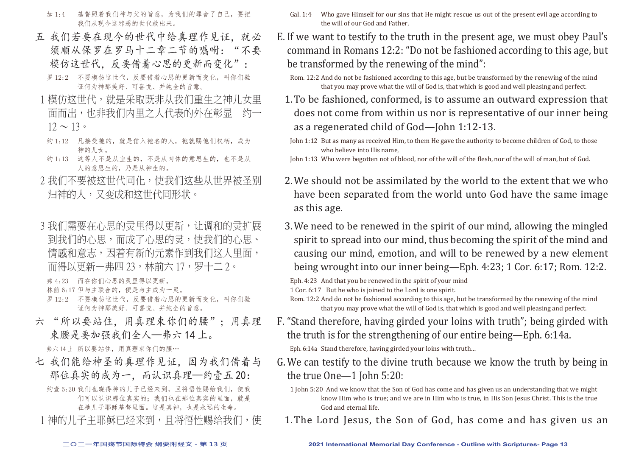- 加 1:4 基督照着我们神与父的旨意,为我们的罪舍了自己,要把 我们从现今这邪恶的世代救出来。
- 五 我们若要在现今的世代中给真理作见证,就必 须顺从保罗在罗马十二章二节的嘱咐:"不要 模仿这世代,反要借着心思的更新而变化":
	- 罗 12:2 不要模仿这世代,反要借着心思的更新而变化,叫你们验 证何为神那美好、可喜悦、并纯全的旨意。
- 1 模仿这世代,就是采取既非从我们重生之神儿女里 面而出,也非我们内里之人代表的外在彰显—约一  $12 \sim 13$
- 约 1:12 凡接受祂的, 就是信入祂名的人, 祂就赐他们权柄, 成为 神的儿女。
- 约 1:13 这等人不是从血生的,不是从肉体的意思生的,也不是从 人的意思生的,乃是从神生的。
- 2 我们不要被这世代同化,使我们这些从世界被圣别 归神的人,又变成和这世代同形状。
- 3 我们需要在心思的灵里得以更新,让调和的灵扩展 到我们的心思,而成了心思的灵,使我们的心思、 情感和意志,因着有新的元素作到我们这人里面, 而得以更新一弗四 23,林前六 17,罗十二 2。

弗 4:23 而在你们心思的灵里得以更新,

林前 6:17 但与主联合的,便是与主成为一灵。

罗 12:2 不要模仿这世代,反要借着心思的更新而变化,叫你们验 证何为神那美好、可喜悦、并纯全的旨意。

六 "所以要站住,用真理束你们的腰":用真理 束腰是要加强我们全人—弗六 14 上。

弗六 14 上 所以要站住,用直理束你们的腰…

- 七 我们能给神圣的真理作见证,因为我们借着与 那位真实的成为一,而认识真理—约壹五20:
	- 约壹 5:20 我们也晓得神的儿子已经来到,目将悟性赐给我们, 使我 们可以认识那位真实的;我们也在那位真实的里面,就是 在祂儿子耶稣基督里面。这是真神,也是永远的生命。
- 1 神的儿子主耶稣已经来到,且将悟性赐给我们,使
- Gal. 1:4 Who gave Himself for our sins that He might rescue us out of the present evil age according to the will of our God and Father,
- E. If we want to testify to the truth in the present age, we must obey Paul's command in Romans 12:2: "Do not be fashioned according to this age, but be transformed by the renewing of the mind":
	- Rom. 12:2 And do not be fashioned according to this age, but be transformed by the renewing of the mind that you may prove what the will of God is, that which is good and well pleasing and perfect.
	- 1.To be fashioned, conformed, is to assume an outward expression that does not come from within us nor is representative of our inner being as a regenerated child of God—John 1:12-13.
	- John 1:12 But as many as received Him, to them He gave the authority to become children of God, to those who believe into His name,

John 1:13 Who were begotten not of blood, nor of the will of the flesh, nor of the will of man, but of God.

- 2.We should not be assimilated by the world to the extent that we who have been separated from the world unto God have the same image as this age.
- 3.We need to be renewed in the spirit of our mind, allowing the mingled spirit to spread into our mind, thus becoming the spirit of the mind and causing our mind, emotion, and will to be renewed by a new element being wrought into our inner being—Eph. 4:23; 1 Cor. 6:17; Rom. 12:2.

Eph. 4:23 And that you be renewed in the spirit of your mind 1 Cor. 6:17 But he who is joined to the Lord is one spirit.

- F. "Stand therefore, having girded your loins with truth"; being girded with the truth is for the strengthening of our entire being—Eph. 6:14a. Eph. 6:14a Stand therefore, having girded your loins with truth…
- G.We can testify to the divine truth because we know the truth by being in the true One—1 John 5:20:
	- 1 John 5:20 And we know that the Son of God has come and has given us an understanding that we might know Him who is true; and we are in Him who is true, in His Son Jesus Christ. This is the true God and eternal life.
	- 1.The Lord Jesus, the Son of God, has come and has given us an

Rom. 12:2 And do not be fashioned according to this age, but be transformed by the renewing of the mind that you may prove what the will of God is, that which is good and well pleasing and perfect.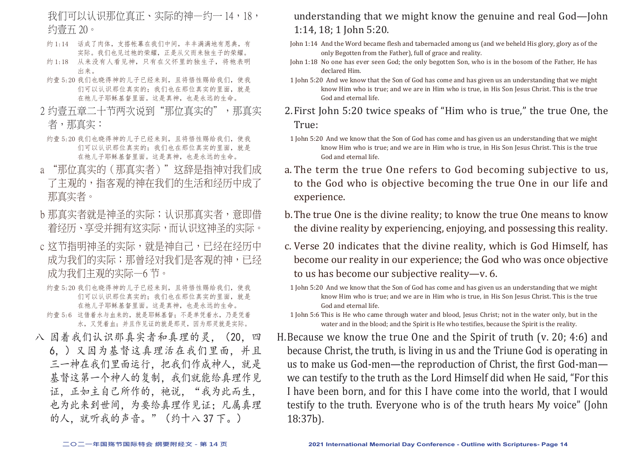我们可以认识那位真正、实际的神—约一 14,18, 约壹五 20。

- 约 1:14 话成了肉体, 支搭帐幕在我们中间, 丰丰满满地有恩典, 有 实际。我们也见过祂的荣耀,正是从父而来独生子的荣耀。
- 约1:18 从来没有人看见神,只有在父怀里的独生子,将祂表明 出来。
- 约壹 5:20 我们也晓得神的儿子已经来到, 且将悟性赐给我们, 使我 们可以认识那位真实的;我们也在那位真实的里面,就是 在祂儿子耶稣基督里面。这是真神,也是永远的生命。
- 2 约壹五章二十节两次说到"那位真实的",那真实 者,那真实:
- 约壹 5:20 我们也晓得神的儿子已经来到, 且将悟性赐给我们, 使我 们可以认识那位真实的;我们也在那位真实的里面,就是 在祂儿子耶稣基督里面。这是真神,也是永远的生命。
- a "那位真实的(那真实者)"这辞是指神对我们成 了主观的,指客观的神在我们的生活和经历中成了 那真实者。
- b 那真实者就是神圣的实际;认识那真实者,意即借 着经历、享受并拥有这实际,而认识这神圣的实际。
- c 这节指明神圣的实际,就是神自己,已经在经历中 成为我们的实际;那曾经对我们是客观的神,已经 成为我们主观的实际—6 节。
- 约壹 5:20 我们也晓得神的儿子已经来到, 且将悟性赐给我们, 使我 们可以认识那位真实的;我们也在那位真实的里面,就是 在祂儿子耶稣基督里面。这是真神,也是永远的生命。
- 约壹 5:6 这借着水与血来的,就是耶稣基督;不是单凭着水,乃是凭着 水,又凭着血;并且作见证的就是那灵,因为那灵就是实际。
- 八 因着我们认识那真实者和真理的灵,(20,四 6,)又因为基督这真理活在我们里面,并且 三一神在我们里面运行,把我们作成神人,就是 基督这第一个神人的复制。我们就能给真理作见 证,正如主自己所作的,祂说,"我为此而生, 也为此来到世间,为要给真理作见证;凡属真理 的人,就听我的声音。"(约十八 37 下。)

#### understanding that we might know the genuine and real God—John 1:14, 18; 1 John 5:20.

- John 1:14 And the Word became flesh and tabernacled among us (and we beheld His glory, glory as of the only Begotten from the Father), full of grace and reality.
- John 1:18 No one has ever seen God; the only begotten Son, who is in the bosom of the Father, He has declared Him.
- 1 John 5:20 And we know that the Son of God has come and has given us an understanding that we might know Him who is true; and we are in Him who is true, in His Son Jesus Christ. This is the true God and eternal life.
- 2.First John 5:20 twice speaks of "Him who is true," the true One, the True:
	- 1 John 5:20 And we know that the Son of God has come and has given us an understanding that we might know Him who is true; and we are in Him who is true, in His Son Jesus Christ. This is the true God and eternal life.
- a. The term the true One refers to God becoming subjective to us, to the God who is objective becoming the true One in our life and experience.
- b.The true One is the divine reality; to know the true One means to know the divine reality by experiencing, enjoying, and possessing this reality.
- c. Verse 20 indicates that the divine reality, which is God Himself, has become our reality in our experience; the God who was once objective to us has become our subjective reality—v. 6.
- 1 John 5:20 And we know that the Son of God has come and has given us an understanding that we might know Him who is true; and we are in Him who is true, in His Son Jesus Christ. This is the true God and eternal life.
- 1 John 5:6 This is He who came through water and blood, Jesus Christ; not in the water only, but in the water and in the blood; and the Spirit is He who testifies, because the Spirit is the reality.
- H.Because we know the true One and the Spirit of truth (v. 20; 4:6) and because Christ, the truth, is living in us and the Triune God is operating in us to make us God-men—the reproduction of Christ, the first God-man we can testify to the truth as the Lord Himself did when He said, "For this I have been born, and for this I have come into the world, that I would testify to the truth. Everyone who is of the truth hears My voice" (John 18:37b).